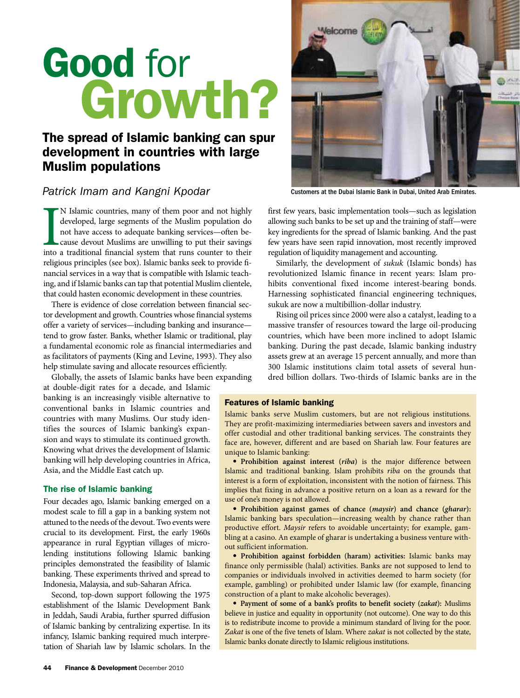# Good for Growth?

## The spread of Islamic banking can spur development in countries with large Muslim populations

### *Patrick Imam and Kangni Kpodar*

N Islamic countries, many of them poor and not highly developed, large segments of the Muslim population do not have access to adequate banking services—often because devout Muslims are unwilling to put their savings into N Islamic countries, many of them poor and not highly developed, large segments of the Muslim population do not have access to adequate banking services—often because devout Muslims are unwilling to put their savings religious principles (see box). Islamic banks seek to provide financial services in a way that is compatible with Islamic teaching, and if Islamic banks can tap that potential Muslim clientele, that could hasten economic development in these countries.

There is evidence of close correlation between financial sector development and growth. Countries whose financial systems offer a variety of services—including banking and insurance tend to grow faster. Banks, whether Islamic or traditional, play a fundamental economic role as financial intermediaries and as facilitators of payments (King and Levine, 1993). They also help stimulate saving and allocate resources efficiently.

Globally, the assets of Islamic banks have been expanding at double-digit rates for a decade, and Islamic banking is an increasingly visible alternative to

conventional banks in Islamic countries and countries with many Muslims. Our study identifies the sources of Islamic banking's expansion and ways to stimulate its continued growth. Knowing what drives the development of Islamic banking will help developing countries in Africa, Asia, and the Middle East catch up.

#### The rise of Islamic banking

Four decades ago, Islamic banking emerged on a modest scale to fill a gap in a banking system not attuned to the needs of the devout. Two events were crucial to its development. First, the early 1960s appearance in rural Egyptian villages of microlending institutions following Islamic banking principles demonstrated the feasibility of Islamic banking. These experiments thrived and spread to Indonesia, Malaysia, and sub-Saharan Africa.

Second, top-down support following the 1975 establishment of the Islamic Development Bank in Jeddah, Saudi Arabia, further spurred diffusion of Islamic banking by centralizing expertise. In its infancy, Islamic banking required much interpretation of Shariah law by Islamic scholars. In the



Customers at the Dubai Islamic Bank in Dubai, United Arab Emirates.

first few years, basic implementation tools—such as legislation allowing such banks to be set up and the training of staff—were key ingredients for the spread of Islamic banking. And the past few years have seen rapid innovation, most recently improved regulation of liquidity management and accounting.

Similarly, the development of *sukuk* (Islamic bonds) has revolutionized Islamic finance in recent years: Islam prohibits conventional fixed income interest-bearing bonds. Harnessing sophisticated financial engineering techniques, sukuk are now a multibillion-dollar industry.

Rising oil prices since 2000 were also a catalyst, leading to a massive transfer of resources toward the large oil-producing countries, which have been more inclined to adopt Islamic banking. During the past decade, Islamic banking industry assets grew at an average 15 percent annually, and more than 300 Islamic institutions claim total assets of several hundred billion dollars. Two-thirds of Islamic banks are in the

#### Features of Islamic banking

Islamic banks serve Muslim customers, but are not religious institutions. They are profit-maximizing intermediaries between savers and investors and offer custodial and other traditional banking services. The constraints they face are, however, different and are based on Shariah law. Four features are unique to Islamic banking:

• **Prohibition against interest (***riba***)** is the major difference between Islamic and traditional banking. Islam prohibits *riba* on the grounds that interest is a form of exploitation, inconsistent with the notion of fairness. This implies that fixing in advance a positive return on a loan as a reward for the use of one's money is not allowed.

• **Prohibition against games of chance (***maysir***) and chance (***gharar***):** Islamic banking bars speculation—increasing wealth by chance rather than productive effort. *Maysir* refers to avoidable uncertainty; for example, gambling at a casino. An example of gharar is undertaking a business venture without sufficient information.

• **Prohibition against forbidden (haram) activities:** Islamic banks may finance only permissible (halal) activities. Banks are not supposed to lend to companies or individuals involved in activities deemed to harm society (for example, gambling) or prohibited under Islamic law (for example, financing construction of a plant to make alcoholic beverages).

• **Payment of some of a bank's profits to benefit society (***zakat***):** Muslims believe in justice and equality in opportunity (not outcome). One way to do this is to redistribute income to provide a minimum standard of living for the poor. *Zakat* is one of the five tenets of Islam. Where *zakat* is not collected by the state, Islamic banks donate directly to Islamic religious institutions.